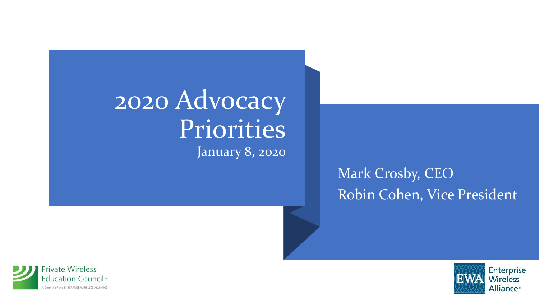#### 2020 Advocacy Priorities January 8, 2020

#### Mark Crosby, CEO Robin Cohen, Vice President



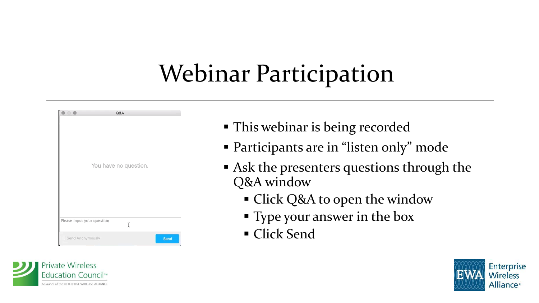#### Webinar Participation

|                            | Q&A |      |
|----------------------------|-----|------|
|                            |     |      |
|                            |     |      |
|                            |     |      |
|                            |     |      |
|                            |     |      |
|                            |     |      |
| You have no question.      |     |      |
|                            |     |      |
|                            |     |      |
|                            |     |      |
|                            |     |      |
|                            |     |      |
|                            |     |      |
| Please input your question | Ĩ   |      |
|                            |     |      |
| Send Anonymously           |     | Send |



- This webinar is being recorded
- Participants are in "listen only" mode
- Ask the presenters questions through the Q&A window
	- **Example 1** Click Q&A to open the window
	- **Type your answer in the box**
	- Click Send

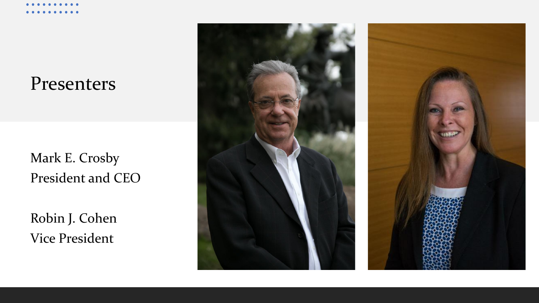#### Presenters

Mark E. Crosby President and CEO

Robin J. Cohen Vice President

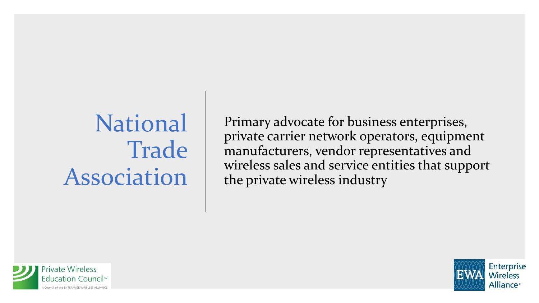#### National **Trade** Association

Primary advocate for business enterprises, private carrier network operators, equipment manufacturers, vendor representatives and wireless sales and service entities that support the private wireless industry



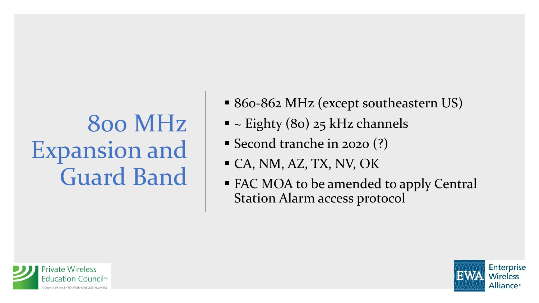#### 800 MHz Expansion and Guard Band

- 860-862 MHz (except southeastern US)
- $\blacksquare$  ~ Eighty (80) 25 kHz channels
- Second tranche in 2020 (?)
- $\blacksquare$  CA, NM, AZ, TX, NV, OK
- FAC MOA to be amended to apply Central Station Alarm access protocol



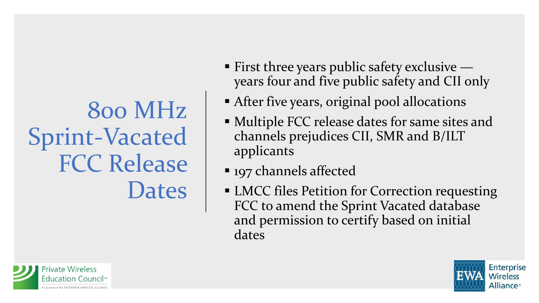## 800 MHz Sprint-Vacated FCC Release **Dates**

- $\blacksquare$  First three years public safety exclusive  $\blacksquare$ years four and five public safety and CII only
- **EXTED After five years, original pool allocations**
- Multiple FCC release dates for same sites and channels prejudices CII, SMR and B/ILT applicants
- 197 channels affected
- LMCC files Petition for Correction requesting FCC to amend the Sprint Vacated database and permission to certify based on initial dates



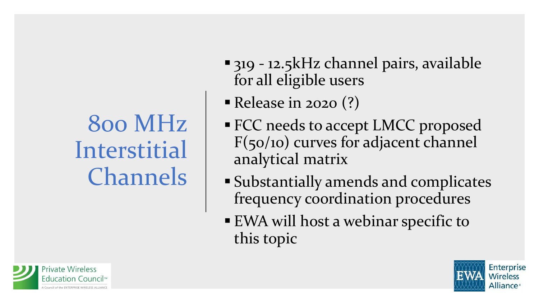#### 800 MHz Interstitial Channels

- 319 12.5kHz channel pairs, available for all eligible users
- **Release in 2020 (?)**
- **FCC needs to accept LMCC proposed** F(50/10) curves for adjacent channel analytical matrix
- Substantially amends and complicates frequency coordination procedures
- EWA will host a webinar specific to this topic



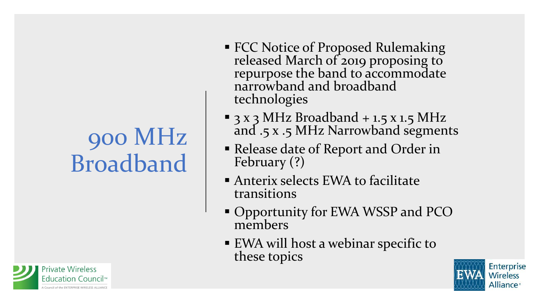#### 900 MHz Broadband

**Private Wireless** Education Council™ Council of the ENTERPRISE WIRELESS ALLIANC

- FCC Notice of Proposed Rulemaking released March of 2019 proposing to repurpose the band to accommodate narrowband and broadband technologies
- $\blacksquare$  3 x 3 MHz Broadband + 1.5 x 1.5 MHz and .5 x .5 MHz Narrowband segments
- Release date of Report and Order in February (?)
- **EXALCE Anterix selects EWA to facilitate** transitions
- **Opportunity for EWA WSSP and PCO** members
- EWA will host a webinar specific to these topics

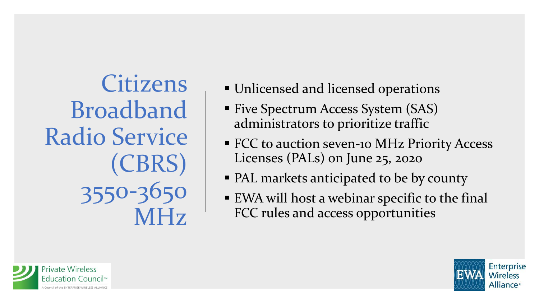Citizens Broadband Radio Service (CBRS) 3550-3650 MHz

- **Unlicensed and licensed operations**
- Five Spectrum Access System (SAS) administrators to prioritize traffic
- **ECC to auction seven-10 MHz Priority Access** Licenses (PALs) on June 25, 2020
- PAL markets anticipated to be by county
- EWA will host a webinar specific to the final FCC rules and access opportunities



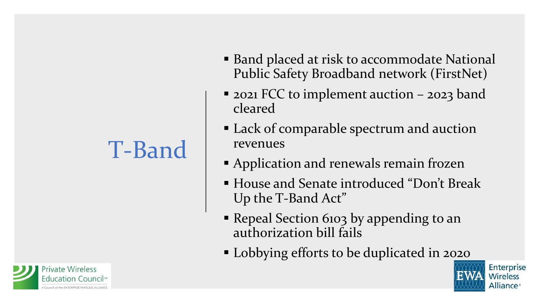### T-Band

- Band placed at risk to accommodate National Public Safety Broadband network (FirstNet)
- 2021 FCC to implement auction 2023 band cleared
- Lack of comparable spectrum and auction revenues
- Application and renewals remain frozen
- House and Senate introduced "Don't Break Up the T-Band Act"
- Repeal Section 6103 by appending to an authorization bill fails
- Lobbying efforts to be duplicated in 2020



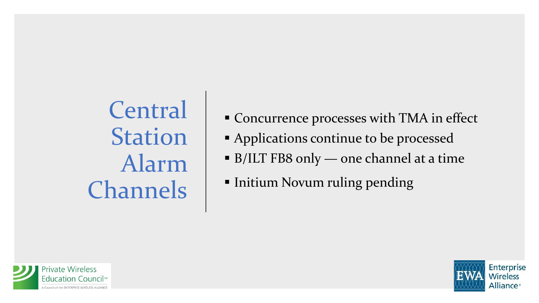**Central** Station Alarm Channels

- Concurrence processes with TMA in effect
- Applications continue to be processed
- B/ILT FB8 only one channel at a time
- **Initium Novum ruling pending**



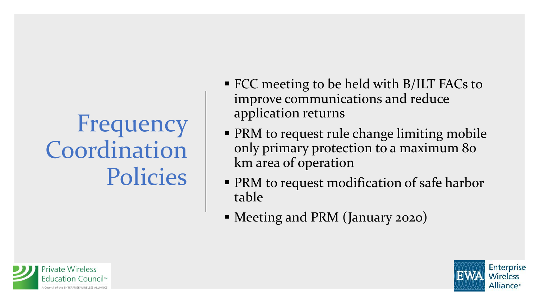### Frequency Coordination Policies

- FCC meeting to be held with B/ILT FACs to improve communications and reduce application returns
- **PRM to request rule change limiting mobile** only primary protection to a maximum 80 km area of operation
- **PRM to request modification of safe harbor** table
- Meeting and PRM (January 2020)



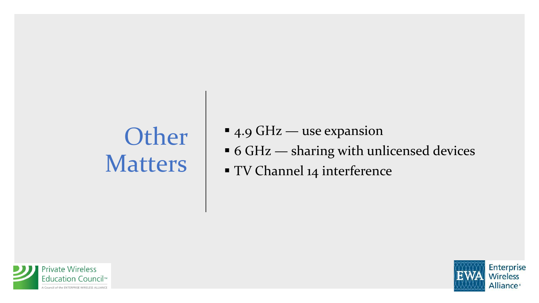## **Other** Matters

- $\blacksquare$  4.9 GHz use expansion
- 6 GHz sharing with unlicensed devices
- **TV Channel 14 interference**



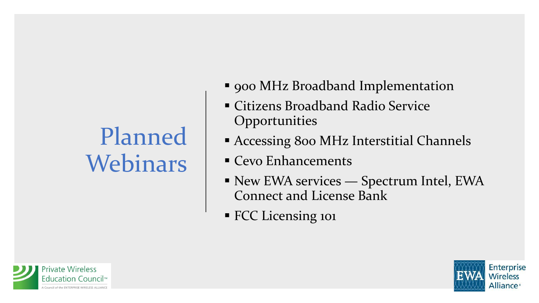## Planned Webinars

- 900 MHz Broadband Implementation
- **Example 21 Citizens Broadband Radio Service Opportunities**
- **EXPACCESSING 800 MHz Interstitial Channels**
- Cevo Enhancements
- New EWA services Spectrum Intel, EWA Connect and License Bank
- **· FCC Licensing 101**